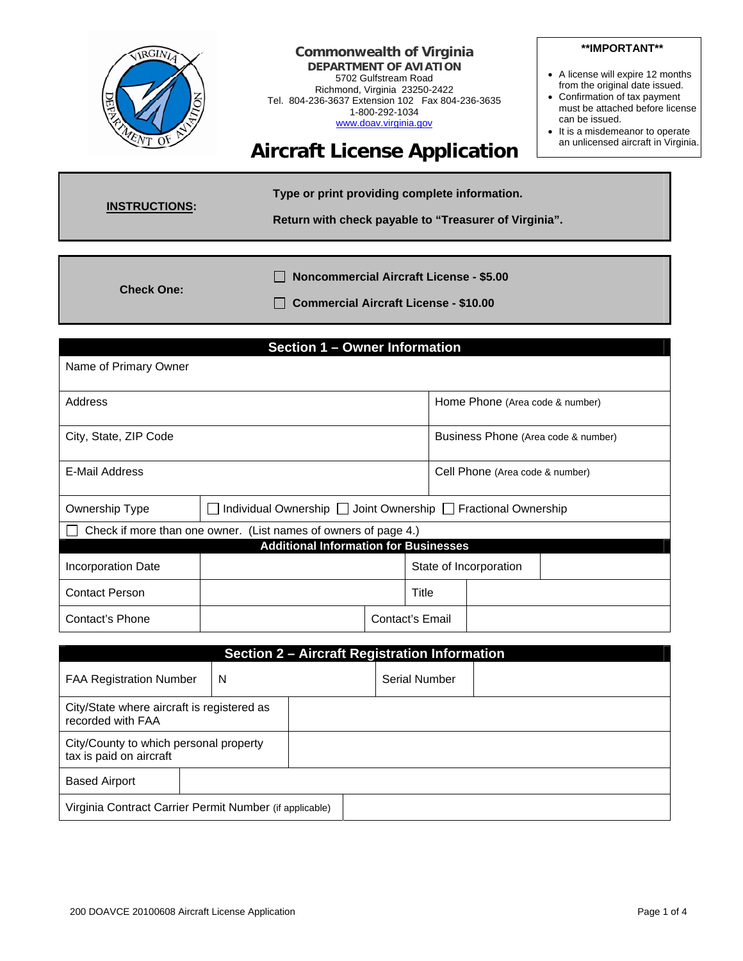

**Check One:** 

 **Noncommercial Aircraft License - \$5.00** 

 **Commercial Aircraft License - \$10.00** 

| Section 1 - Owner Information |                                                                 |  |                 |                                 |                                     |
|-------------------------------|-----------------------------------------------------------------|--|-----------------|---------------------------------|-------------------------------------|
| Name of Primary Owner         |                                                                 |  |                 |                                 |                                     |
|                               |                                                                 |  |                 |                                 |                                     |
| Address                       |                                                                 |  |                 | Home Phone (Area code & number) |                                     |
| City, State, ZIP Code         |                                                                 |  |                 |                                 | Business Phone (Area code & number) |
| E-Mail Address                |                                                                 |  |                 | Cell Phone (Area code & number) |                                     |
| Ownership Type                | Individual Ownership   Joint Ownership   Fractional Ownership   |  |                 |                                 |                                     |
|                               | Check if more than one owner. (List names of owners of page 4.) |  |                 |                                 |                                     |
|                               | <b>Additional Information for Businesses</b>                    |  |                 |                                 |                                     |
| Incorporation Date            |                                                                 |  |                 | State of Incorporation          |                                     |
| <b>Contact Person</b>         |                                                                 |  | Title           |                                 |                                     |
| Contact's Phone               |                                                                 |  | Contact's Email |                                 |                                     |

| <b>Section 2 - Aircraft Registration Information</b>              |   |  |               |  |
|-------------------------------------------------------------------|---|--|---------------|--|
| <b>FAA Registration Number</b>                                    | N |  | Serial Number |  |
| City/State where aircraft is registered as<br>recorded with FAA   |   |  |               |  |
| City/County to which personal property<br>tax is paid on aircraft |   |  |               |  |
| <b>Based Airport</b>                                              |   |  |               |  |
| Virginia Contract Carrier Permit Number (if applicable)           |   |  |               |  |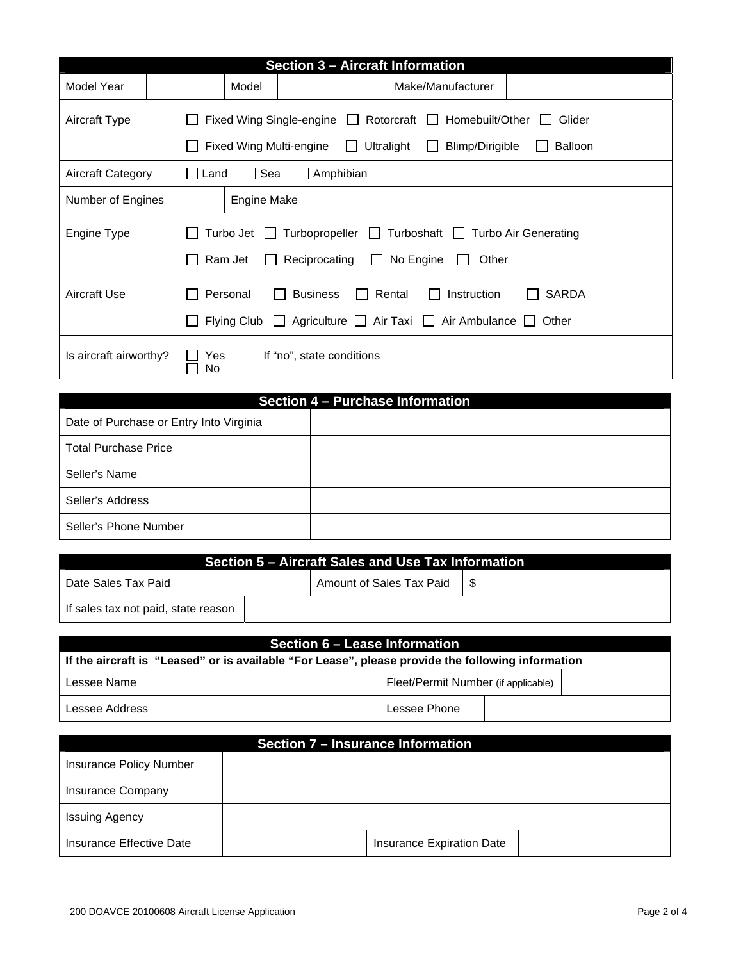| Section 3 - Aircraft Information |  |              |                                                                                                                                                                                     |                           |                   |  |
|----------------------------------|--|--------------|-------------------------------------------------------------------------------------------------------------------------------------------------------------------------------------|---------------------------|-------------------|--|
| Model Year                       |  | Model        |                                                                                                                                                                                     |                           | Make/Manufacturer |  |
| Aircraft Type                    |  | $\mathbf{I}$ | Fixed Wing Single-engine $\Box$<br>Rotorcraft<br>Homebuilt/Other<br>Glider<br>$\perp$                                                                                               |                           |                   |  |
|                                  |  |              | Fixed Wing Multi-engine<br>Ultralight<br>Blimp/Dirigible<br><b>Balloon</b><br>$\mathbf{1}$<br>$\mathbf{I}$                                                                          |                           |                   |  |
| <b>Aircraft Category</b>         |  |              | $\Box$ Land<br>Sea<br>Amphibian<br>$\mathbf{L}$                                                                                                                                     |                           |                   |  |
| Number of Engines                |  |              | <b>Engine Make</b>                                                                                                                                                                  |                           |                   |  |
| Engine Type                      |  | $\mathsf{L}$ | Turboshaft $\Box$<br>Turbo Jet<br>$T$ urbopropeller $\Box$<br><b>Turbo Air Generating</b><br>No Engine<br>Ram Jet<br>Reciprocating<br>Other<br>$\mathbf{L}$<br>$\mathbf{1}$         |                           |                   |  |
| <b>Aircraft Use</b>              |  |              | Rental<br>Personal<br><b>SARDA</b><br><b>Business</b><br><b>Instruction</b><br>$\Box$<br>Agriculture $\Box$ Air Taxi $\Box$<br>Flying Club<br>Air Ambulance    <br>$\perp$<br>Other |                           |                   |  |
| Is aircraft airworthy?           |  | Yes<br>No    |                                                                                                                                                                                     | If "no", state conditions |                   |  |

| Section 4 - Purchase Information        |  |
|-----------------------------------------|--|
| Date of Purchase or Entry Into Virginia |  |
| <b>Total Purchase Price</b>             |  |
| Seller's Name                           |  |
| Seller's Address                        |  |
| Seller's Phone Number                   |  |

|                                     |  | Section 5 – Aircraft Sales and Use Tax Information |  |
|-------------------------------------|--|----------------------------------------------------|--|
| Date Sales Tax Paid                 |  | Amount of Sales Tax Paid \ \$                      |  |
| If sales tax not paid, state reason |  |                                                    |  |

| Section 6 – Lease Information                                                                     |  |                                     |  |  |
|---------------------------------------------------------------------------------------------------|--|-------------------------------------|--|--|
| If the aircraft is "Leased" or is available "For Lease", please provide the following information |  |                                     |  |  |
| Lessee Name                                                                                       |  | Fleet/Permit Number (if applicable) |  |  |
| Lessee Address                                                                                    |  | Lessee Phone                        |  |  |

| Section 7 – Insurance Information |  |                           |  |
|-----------------------------------|--|---------------------------|--|
| <b>Insurance Policy Number</b>    |  |                           |  |
| <b>Insurance Company</b>          |  |                           |  |
| Issuing Agency                    |  |                           |  |
| Insurance Effective Date          |  | Insurance Expiration Date |  |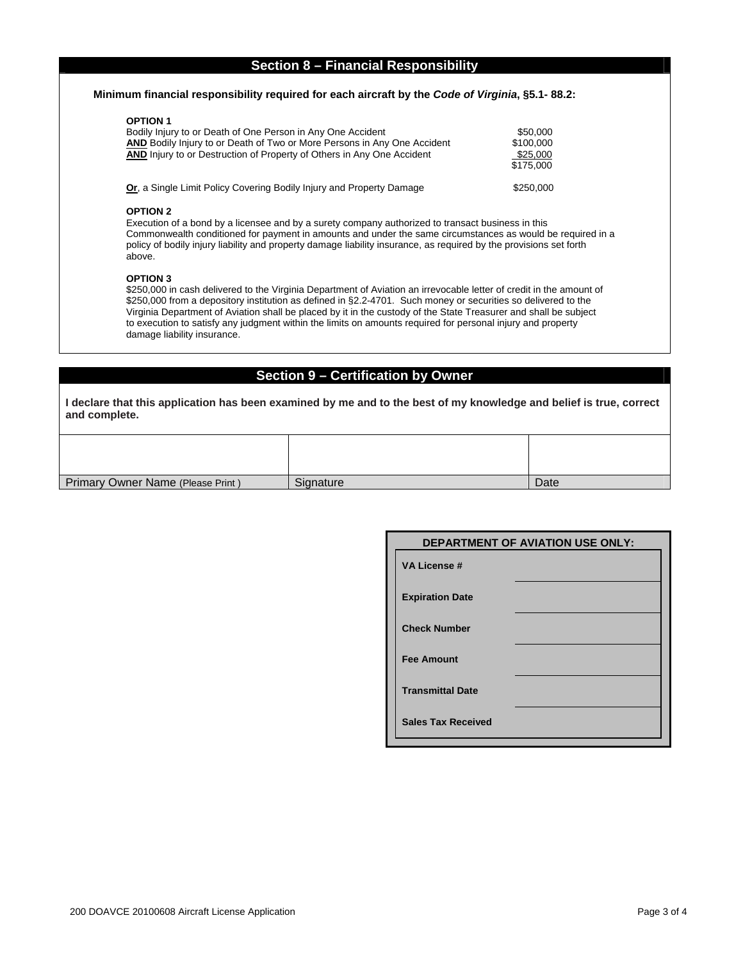# **Section 8 – Financial Responsibility**

### **Minimum financial responsibility required for each aircraft by the** *Code of Virginia***, §5.1- 88.2:**

### **OPTION 1**

| Bodily Injury to or Death of One Person in Any One Accident<br><b>AND</b> Bodily Injury to or Death of Two or More Persons in Any One Accident<br><b>AND</b> Injury to or Destruction of Property of Others in Any One Accident | \$50,000<br>\$100,000<br>\$25,000<br>\$175,000 |
|---------------------------------------------------------------------------------------------------------------------------------------------------------------------------------------------------------------------------------|------------------------------------------------|
| <b>Or, a Single Limit Policy Covering Bodily Injury and Property Damage</b>                                                                                                                                                     | \$250,000                                      |

#### **OPTION 2**

Execution of a bond by a licensee and by a surety company authorized to transact business in this Commonwealth conditioned for payment in amounts and under the same circumstances as would be required in a policy of bodily injury liability and property damage liability insurance, as required by the provisions set forth above.

#### **OPTION 3**

\$250,000 in cash delivered to the Virginia Department of Aviation an irrevocable letter of credit in the amount of \$250,000 from a depository institution as defined in §2.2-4701. Such money or securities so delivered to the Virginia Department of Aviation shall be placed by it in the custody of the State Treasurer and shall be subject to execution to satisfy any judgment within the limits on amounts required for personal injury and property damage liability insurance.

## **Section 9 – Certification by Owner**

**I declare that this application has been examined by me and to the best of my knowledge and belief is true, correct and complete.** 

| Primary Owner Name (Please Print) | Signature | Date |
|-----------------------------------|-----------|------|

|                           | <b>DEPARTMENT OF AVIATION USE ONLY:</b> |
|---------------------------|-----------------------------------------|
| <b>VA License #</b>       |                                         |
| <b>Expiration Date</b>    |                                         |
| <b>Check Number</b>       |                                         |
| <b>Fee Amount</b>         |                                         |
| <b>Transmittal Date</b>   |                                         |
| <b>Sales Tax Received</b> |                                         |